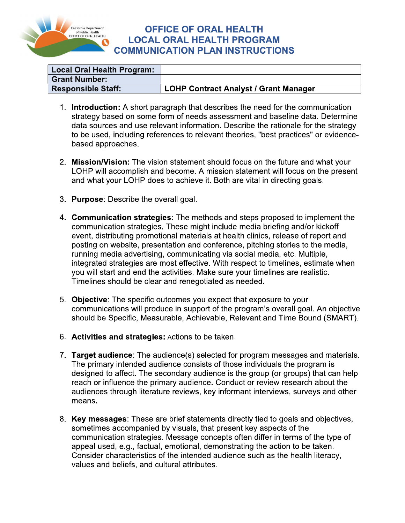

## **OFFICE OF ORAL HEALTH LOCAL ORAL HEALTH PROGRAM COMMUNICATION PLAN INSTRUCTIONS**

| Local Oral Health Program: |                                              |
|----------------------------|----------------------------------------------|
| <b>Grant Number:</b>       |                                              |
| <b>Responsible Staff:</b>  | <b>LOHP Contract Analyst / Grant Manager</b> |

- 1. Introduction: A short paragraph that describes the need for the communication strategy based on some form of needs assessment and baseline data. Determine data sources and use relevant information. Describe the rationale for the strategy to be used, including references to relevant theories, "best practices" or evidencebased approaches.
- 2. Mission/Vision: The vision statement should focus on the future and what your LOHP will accomplish and become. A mission statement will focus on the present and what your LOHP does to achieve it. Both are vital in directing goals.
- 3. Purpose: Describe the overall goal.
- 4. Communication strategies: The methods and steps proposed to implement the communication strategies. These might include media briefing and/or kickoff event, distributing promotional materials at health clinics, release of report and posting on website, presentation and conference, pitching stories to the media, running media advertising, communicating via social media, etc. Multiple, integrated strategies are most effective. With respect to timelines, estimate when you will start and end the activities. Make sure your timelines are realistic. Timelines should be clear and renegotiated as needed.
- 5. Objective: The specific outcomes you expect that exposure to your communications will produce in support of the program's overall goal. An objective should be Specific, Measurable, Achievable, Relevant and Time Bound (SMART).
- 6. Activities and strategies: Actions to be taken.
- 7. Target audience: The audience(s) selected for program messages and materials. The primary intended audience consists of those individuals the program is designed to affect. The secondary audience is the group (or groups) that can help reach or influence the primary audience. Conduct or review research about the audiences through literature reviews, key informant interviews, surveys and other means.
- 8. Key messages: These are brief statements directly tied to goals and objectives, sometimes accompanied by visuals, that present key aspects of the communication strategies. Message concepts often differ in terms of the type of appeal used, e.g., factual, emotional, demonstrating the action to be taken. Consider characteristics of the intended audience such as the health literacy, values and beliefs, and cultural attributes.